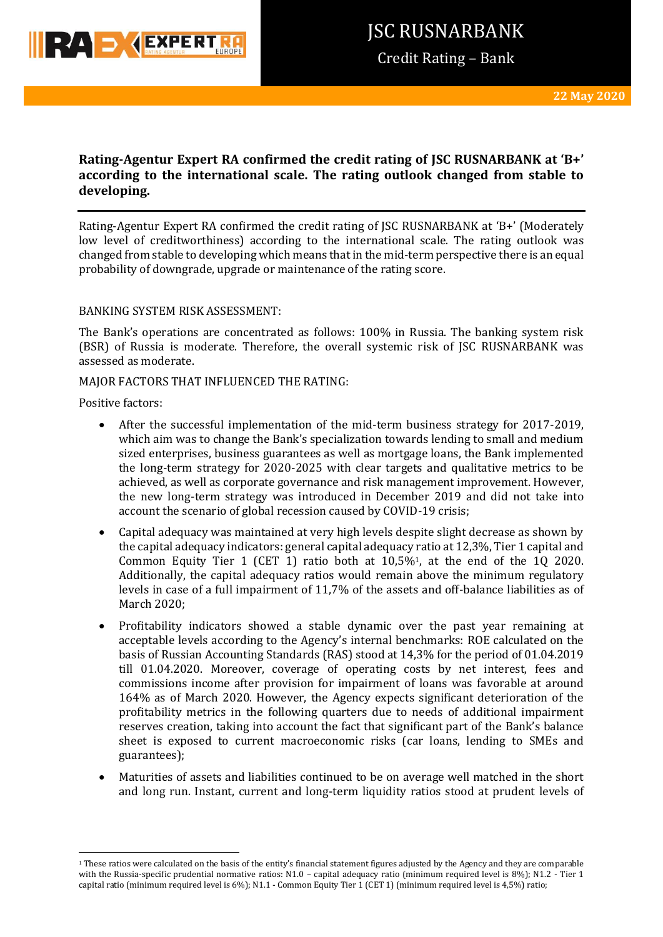

Credit Rating – Bank

# **Rating-Agentur Expert RA confirmed the credit rating of JSC RUSNARBANK at 'B+' according to the international scale. The rating outlook changed from stable to developing.**

Rating-Agentur Expert RA confirmed the credit rating of JSC RUSNARBANK at 'B+' (Moderately low level of creditworthiness) according to the international scale. The rating outlook was changed from stable to developing which means that in the mid-term perspective there is an equal probability of downgrade, upgrade or maintenance of the rating score.

### BANKING SYSTEM RISK ASSESSMENT:

The Bank's operations are concentrated as follows: 100% in Russia. The banking system risk (BSR) of Russia is moderate. Therefore, the overall systemic risk of JSC RUSNARBANK was assessed as moderate.

MAJOR FACTORS THAT INFLUENCED THE RATING:

Positive factors:

**.** 

- After the successful implementation of the mid-term business strategy for 2017-2019, which aim was to change the Bank's specialization towards lending to small and medium sized enterprises, business guarantees as well as mortgage loans, the Bank implemented the long-term strategy for 2020-2025 with clear targets and qualitative metrics to be achieved, as well as corporate governance and risk management improvement. However, the new long-term strategy was introduced in December 2019 and did not take into account the scenario of global recession caused by COVID-19 crisis;
- Capital adequacy was maintained at very high levels despite slight decrease as shown by the capital adequacy indicators: general capital adequacy ratio at 12,3%, Tier 1 capital and Common Equity Tier 1 (CET 1) ratio both at 10,5%1, at the end of the 1Q 2020. Additionally, the capital adequacy ratios would remain above the minimum regulatory levels in case of a full impairment of 11,7% of the assets and off-balance liabilities as of March 2020;
- Profitability indicators showed a stable dynamic over the past year remaining at acceptable levels according to the Agency's internal benchmarks: ROE calculated on the basis of Russian Accounting Standards (RAS) stood at 14,3% for the period of 01.04.2019 till 01.04.2020. Moreover, coverage of operating costs by net interest, fees and commissions income after provision for impairment of loans was favorable at around 164% as of March 2020. However, the Agency expects significant deterioration of the profitability metrics in the following quarters due to needs of additional impairment reserves creation, taking into account the fact that significant part of the Bank's balance sheet is exposed to current macroeconomic risks (car loans, lending to SMEs and guarantees);
- Maturities of assets and liabilities continued to be on average well matched in the short and long run. Instant, current and long-term liquidity ratios stood at prudent levels of

<sup>&</sup>lt;sup>1</sup> These ratios were calculated on the basis of the entity's financial statement figures adjusted by the Agency and they are comparable with the Russia-specific prudential normative ratios: N1.0 – capital adequacy ratio (minimum required level is 8%); N1.2 - Tier 1 capital ratio (minimum required level is 6%); N1.1 - Common Equity Tier 1 (CET 1) (minimum required level is 4,5%) ratio;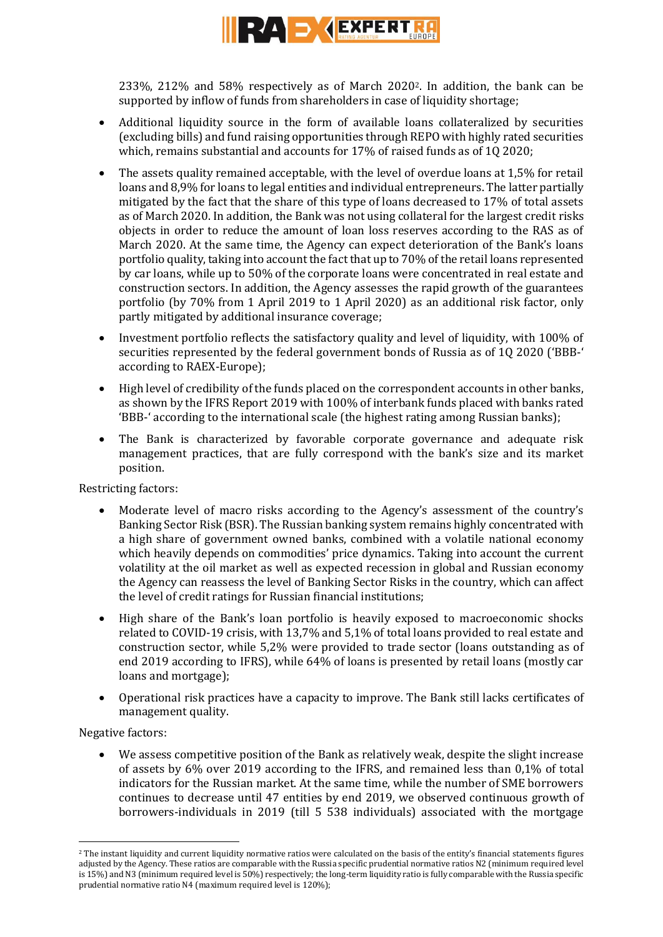

233%, 212% and 58% respectively as of March 20202. In addition, the bank can be supported by inflow of funds from shareholders in case of liquidity shortage;

- Additional liquidity source in the form of available loans collateralized by securities (excluding bills) and fund raising opportunities through REPO with highly rated securities which, remains substantial and accounts for 17% of raised funds as of 1Q 2020;
- The assets quality remained acceptable, with the level of overdue loans at 1,5% for retail loans and 8,9% for loans to legal entities and individual entrepreneurs. The latter partially mitigated by the fact that the share of this type of loans decreased to 17% of total assets as of March 2020. In addition, the Bank was not using collateral for the largest credit risks objects in order to reduce the amount of loan loss reserves according to the RAS as of March 2020. At the same time, the Agency can expect deterioration of the Bank's loans portfolio quality, taking into account the fact that up to 70% of the retail loans represented by car loans, while up to 50% of the corporate loans were concentrated in real estate and construction sectors. In addition, the Agency assesses the rapid growth of the guarantees portfolio (by 70% from 1 April 2019 to 1 April 2020) as an additional risk factor, only partly mitigated by additional insurance coverage;
- Investment portfolio reflects the satisfactory quality and level of liquidity, with 100% of securities represented by the federal government bonds of Russia as of 1Q 2020 ('BBB-' according to RAEX-Europe);
- High level of credibility of the funds placed on the correspondent accounts in other banks, as shown by the IFRS Report 2019 with 100% of interbank funds placed with banks rated 'BBB-' according to the international scale (the highest rating among Russian banks);
- The Bank is characterized by favorable corporate governance and adequate risk management practices, that are fully correspond with the bank's size and its market position.

Restricting factors:

- Moderate level of macro risks according to the Agency's assessment of the country's Banking Sector Risk (BSR). The Russian banking system remains highly concentrated with a high share of government owned banks, combined with a volatile national economy which heavily depends on commodities' price dynamics. Taking into account the current volatility at the oil market as well as expected recession in global and Russian economy the Agency can reassess the level of Banking Sector Risks in the country, which can affect the level of credit ratings for Russian financial institutions;
- High share of the Bank's loan portfolio is heavily exposed to macroeconomic shocks related to COVID-19 crisis, with 13,7% and 5,1% of total loans provided to real estate and construction sector, while 5,2% were provided to trade sector (loans outstanding as of end 2019 according to IFRS), while 64% of loans is presented by retail loans (mostly car loans and mortgage);
- Operational risk practices have a capacity to improve. The Bank still lacks certificates of management quality.

Negative factors:

**.** 

 We assess competitive position of the Bank as relatively weak, despite the slight increase of assets by 6% over 2019 according to the IFRS, and remained less than 0,1% of total indicators for the Russian market. At the same time, while the number of SME borrowers continues to decrease until 47 entities by end 2019, we observed continuous growth of borrowers-individuals in 2019 (till 5 538 individuals) associated with the mortgage

<sup>&</sup>lt;sup>2</sup> The instant liquidity and current liquidity normative ratios were calculated on the basis of the entity's financial statements figures adjusted by the Agency. These ratios are comparable with the Russia specific prudential normative ratios N2 (minimum required level is 15%) and N3 (minimum required level is 50%) respectively; the long-term liquidity ratio is fully comparable with the Russia specific prudential normative ratio N4 (maximum required level is 120%);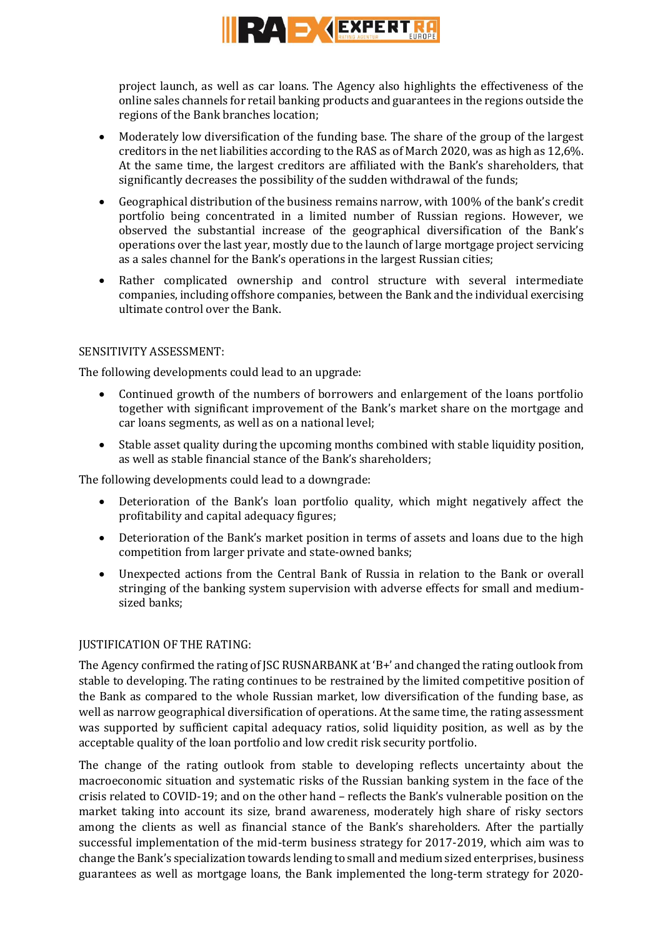

project launch, as well as car loans. The Agency also highlights the effectiveness of the online sales channels for retail banking products and guarantees in the regions outside the regions of the Bank branches location;

- Moderately low diversification of the funding base. The share of the group of the largest creditors in the net liabilities according to the RAS as of March 2020, was as high as 12,6%. At the same time, the largest creditors are affiliated with the Bank's shareholders, that significantly decreases the possibility of the sudden withdrawal of the funds;
- Geographical distribution of the business remains narrow, with 100% of the bank's credit portfolio being concentrated in a limited number of Russian regions. However, we observed the substantial increase of the geographical diversification of the Bank's operations over the last year, mostly due to the launch of large mortgage project servicing as a sales channel for the Bank's operations in the largest Russian cities;
- Rather complicated ownership and control structure with several intermediate companies, including offshore companies, between the Bank and the individual exercising ultimate control over the Bank.

### SENSITIVITY ASSESSMENT:

The following developments could lead to an upgrade:

- Continued growth of the numbers of borrowers and enlargement of the loans portfolio together with significant improvement of the Bank's market share on the mortgage and car loans segments, as well as on a national level;
- Stable asset quality during the upcoming months combined with stable liquidity position, as well as stable financial stance of the Bank's shareholders;

The following developments could lead to a downgrade:

- Deterioration of the Bank's loan portfolio quality, which might negatively affect the profitability and capital adequacy figures;
- Deterioration of the Bank's market position in terms of assets and loans due to the high competition from larger private and state-owned banks;
- Unexpected actions from the Central Bank of Russia in relation to the Bank or overall stringing of the banking system supervision with adverse effects for small and mediumsized banks;

## JUSTIFICATION OF THE RATING:

The Agency confirmed the rating of JSC RUSNARBANK at 'B+' and changed the rating outlook from stable to developing. The rating continues to be restrained by the limited competitive position of the Bank as compared to the whole Russian market, low diversification of the funding base, as well as narrow geographical diversification of operations. At the same time, the rating assessment was supported by sufficient capital adequacy ratios, solid liquidity position, as well as by the acceptable quality of the loan portfolio and low credit risk security portfolio.

The change of the rating outlook from stable to developing reflects uncertainty about the macroeconomic situation and systematic risks of the Russian banking system in the face of the crisis related to COVID-19; and on the other hand – reflects the Bank's vulnerable position on the market taking into account its size, brand awareness, moderately high share of risky sectors among the clients as well as financial stance of the Bank's shareholders. After the partially successful implementation of the mid-term business strategy for 2017-2019, which aim was to change the Bank's specialization towards lending to small and medium sized enterprises, business guarantees as well as mortgage loans, the Bank implemented the long-term strategy for 2020-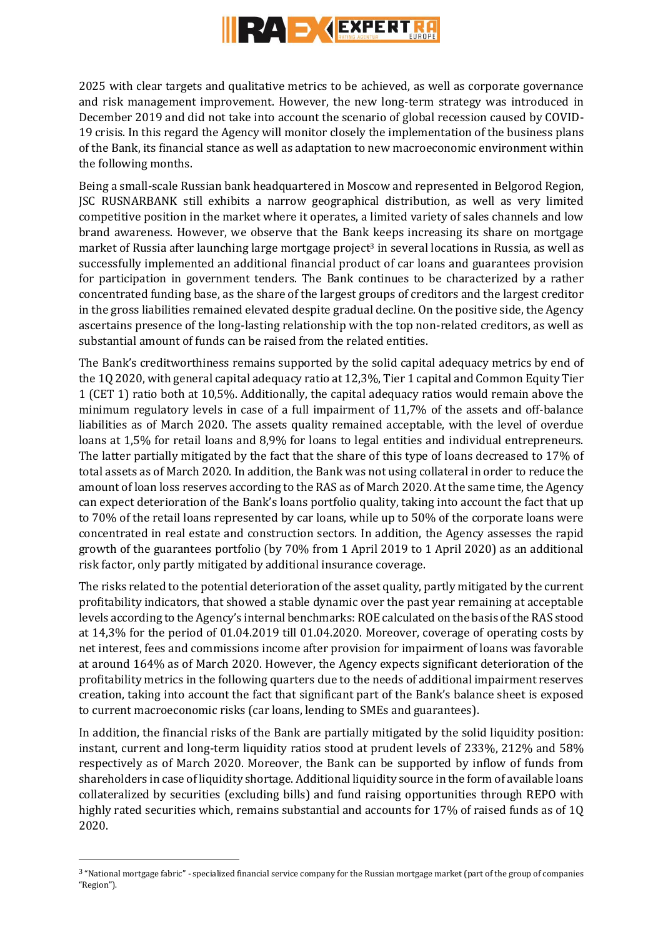

2025 with clear targets and qualitative metrics to be achieved, as well as corporate governance and risk management improvement. However, the new long-term strategy was introduced in December 2019 and did not take into account the scenario of global recession caused by COVID-19 crisis. In this regard the Agency will monitor closely the implementation of the business plans of the Bank, its financial stance as well as adaptation to new macroeconomic environment within the following months.

Being a small-scale Russian bank headquartered in Moscow and represented in Belgorod Region, JSC RUSNARBANK still exhibits a narrow geographical distribution, as well as very limited competitive position in the market where it operates, a limited variety of sales channels and low brand awareness. However, we observe that the Bank keeps increasing its share on mortgage market of Russia after launching large mortgage project<sup>3</sup> in several locations in Russia, as well as successfully implemented an additional financial product of car loans and guarantees provision for participation in government tenders. The Bank continues to be characterized by a rather concentrated funding base, as the share of the largest groups of creditors and the largest creditor in the gross liabilities remained elevated despite gradual decline. On the positive side, the Agency ascertains presence of the long-lasting relationship with the top non-related creditors, as well as substantial amount of funds can be raised from the related entities.

The Bank's creditworthiness remains supported by the solid capital adequacy metrics by end of the 1Q 2020, with general capital adequacy ratio at 12,3%, Tier 1 capital and Common Equity Tier 1 (CET 1) ratio both at 10,5%. Additionally, the capital adequacy ratios would remain above the minimum regulatory levels in case of a full impairment of 11,7% of the assets and off-balance liabilities as of March 2020. The assets quality remained acceptable, with the level of overdue loans at 1,5% for retail loans and 8,9% for loans to legal entities and individual entrepreneurs. The latter partially mitigated by the fact that the share of this type of loans decreased to 17% of total assets as of March 2020. In addition, the Bank was not using collateral in order to reduce the amount of loan loss reserves according to the RAS as of March 2020. At the same time, the Agency can expect deterioration of the Bank's loans portfolio quality, taking into account the fact that up to 70% of the retail loans represented by car loans, while up to 50% of the corporate loans were concentrated in real estate and construction sectors. In addition, the Agency assesses the rapid growth of the guarantees portfolio (by 70% from 1 April 2019 to 1 April 2020) as an additional risk factor, only partly mitigated by additional insurance coverage.

The risks related to the potential deterioration of the asset quality, partly mitigated by the current profitability indicators, that showed a stable dynamic over the past year remaining at acceptable levels according to the Agency's internal benchmarks: ROE calculated on the basis of the RAS stood at 14,3% for the period of 01.04.2019 till 01.04.2020. Moreover, coverage of operating costs by net interest, fees and commissions income after provision for impairment of loans was favorable at around 164% as of March 2020. However, the Agency expects significant deterioration of the profitability metrics in the following quarters due to the needs of additional impairment reserves creation, taking into account the fact that significant part of the Bank's balance sheet is exposed to current macroeconomic risks (car loans, lending to SMEs and guarantees).

In addition, the financial risks of the Bank are partially mitigated by the solid liquidity position: instant, current and long-term liquidity ratios stood at prudent levels of 233%, 212% and 58% respectively as of March 2020. Moreover, the Bank can be supported by inflow of funds from shareholders in case of liquidity shortage. Additional liquidity source in the form of available loans collateralized by securities (excluding bills) and fund raising opportunities through REPO with highly rated securities which, remains substantial and accounts for 17% of raised funds as of 1Q 2020.

 $\overline{a}$ 

<sup>3</sup> "National mortgage fabric" - specialized financial service company for the Russian mortgage market (part of the group of companies "Region").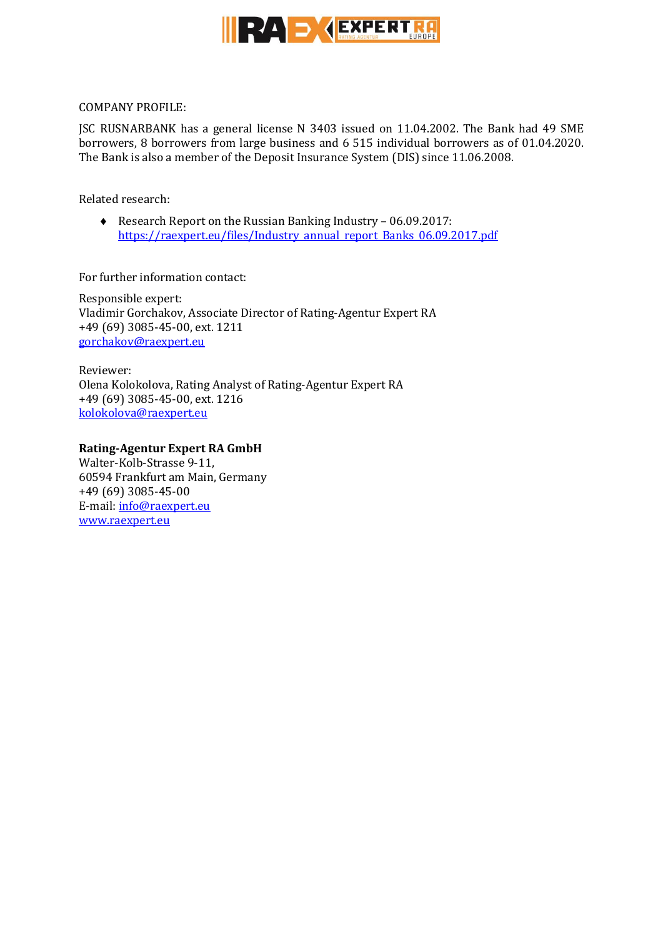

COMPANY PROFILE:

JSC RUSNARBANK has a general license N 3403 issued on 11.04.2002. The Bank had 49 SME borrowers, 8 borrowers from large business and 6 515 individual borrowers as of 01.04.2020. The Bank is also a member of the Deposit Insurance System (DIS) since 11.06.2008.

Related research:

◆ Research Report on the Russian Banking Industry – 06.09.2017: [https://raexpert.eu/files/Industry\\_annual\\_report\\_Banks\\_06.09.2017.pdf](https://raexpert.eu/files/Industry_annual_report_Banks_06.09.2017.pdf)

For further information contact:

Responsible expert: Vladimir Gorchakov, Associate Director of Rating-Agentur Expert RA +49 (69) 3085-45-00, ext. 1211 [gorchakov@raexpert.eu](mailto:gorchakov@raexpert.eu)

Reviewer: Olena Kolokolova, Rating Analyst of Rating-Agentur Expert RA +49 (69) 3085-45-00, ext. 1216 [kolokolova@raexpert.eu](mailto:kolokolova@raexpert.eu)

## **Rating-Agentur Expert RA GmbH**

Walter-Kolb-Strasse 9-11, 60594 Frankfurt am Main, Germany +49 (69) 3085-45-00 E-mail[: info@raexpert.eu](mailto:info@raexpert.eu) [www.raexpert.eu](http://raexpert.eu/)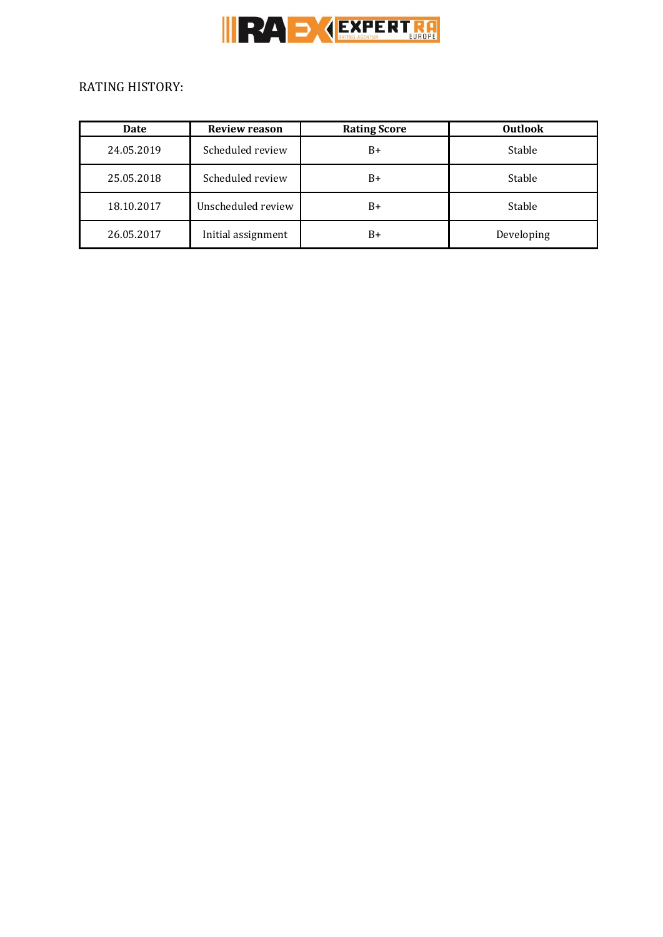

# RATING HISTORY:

| Date       | <b>Review reason</b> | <b>Rating Score</b> | <b>Outlook</b> |
|------------|----------------------|---------------------|----------------|
| 24.05.2019 | Scheduled review     | $B+$                | Stable         |
| 25.05.2018 | Scheduled review     | $B+$                | Stable         |
| 18.10.2017 | Unscheduled review   | $B+$                | Stable         |
| 26.05.2017 | Initial assignment   | B+                  | Developing     |